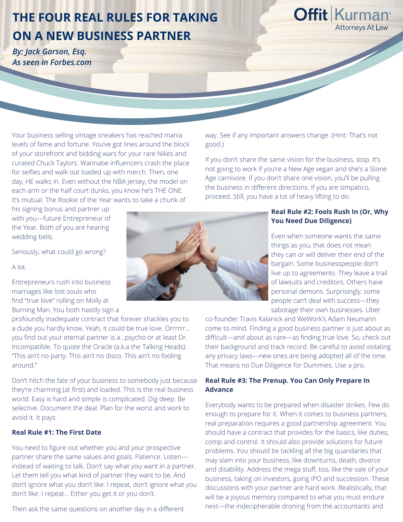# **THE FOUR REAL RULES FOR TAKING ON A NEW BUSINESS PARTNER**

# *By: Jack Garson, Esq. As seen in Forbes.com*

Your business selling vintage sneakers has reached mania levels of fame and fortune. You've got lines around the block of your storefront and bidding wars for your rare Nikes and curated Chuck Taylors. Wannabe influencers crash the place for selfies and walk out loaded up with merch. Then, one day, HE walks in. Even without the NBA jersey, the model on each arm or the half court dunks, you know he's THE ONE. It's mutual. The Rookie of the Year wants to take a chunk of

his signing bonus and partner up with you—future Entrepreneur of the Year. Both of you are hearing wedding bells.

Seriously, what could go wrong?

A lot.

Entrepreneurs rush into business marriages like lost souls who find "true love" rolling on Molly at Burning Man. You both hastily sign a

profoundly inadequate contract that forever shackles you to a dude you hardly know. Yeah, it could be true love. Orrrrrr… you find out your eternal partner is a…psycho or at least Dr. Incompatible. To quote the Oracle (a.k.a the Talking Heads): "This ain't no party. This ain't no disco. This ain't no fooling around."

Don't hitch the fate of your business to somebody just because they're charming (at first) and loaded. This is the real business world. Easy is hard and simple is complicated. Dig deep. Be selective. Document the deal. Plan for the worst and work to avoid it. It pays.

### **Real Rule #1: The First Date**

You need to figure out whether you and your prospective partner share the same values and goals. Patience. Listen instead of waiting to talk. Don't say what you want in a partner. Let them tell you what kind of partner they want to be. And don't ignore what you don't like. I repeat, don't ignore what you don't like. I repeat… Either you get it or you don't.

Then ask the same questions on another day in a different

way. See if any important answers change. (Hint: That's not good.)

If you don't share the same vision for the business, stop. It's not going to work if you're a New Age vegan and she's a Stone Age carnivore. If you don't share one vision, you'll be pulling the business in different directions. If you are simpatico, proceed. Still, you have a lot of heavy lifting to do.

### **Real Rule #2: Fools Rush In (Or, Why You Need Due Diligence)**

Even when someone wants the same things as you, that does not mean they can or will deliver their end of the bargain. Some businesspeople don't live up to agreements. They leave a trail of lawsuits and creditors. Others have personal demons. Surprisingly, some people can't deal with success—they sabotage their own businesses. Uber

co-founder Travis Kalanick and WeWork's Adam Neumann come to mind. Finding a good business partner is just about as difficult—and about as rare—as finding true love. So, check out their background and track record. Be careful to avoid violating any privacy laws—new ones are being adopted all of the time. That means no Due Diligence for Dummies. Use a pro.

### **Real Rule #3: The Prenup. You Can Only Prepare In Advance**

Everybody wants to be prepared when disaster strikes. Few do enough to prepare for it. When it comes to business partners, real preparation requires a good partnership agreement. You should have a contract that provides for the basics, like duties, comp and control. It should also provide solutions for future problems. You should be tackling all the big quandaries that may slam into your business, like downturns, death, divorce and disability. Address the mega stuff, too, like the sale of your business, taking on investors, going IPO and succession. These discussions with your partner are hard work. Realistically, that will be a joyous memory compared to what you must endure next—the indecipherable droning from the accountants and



# **Offit Kurman Attorneys At Law**